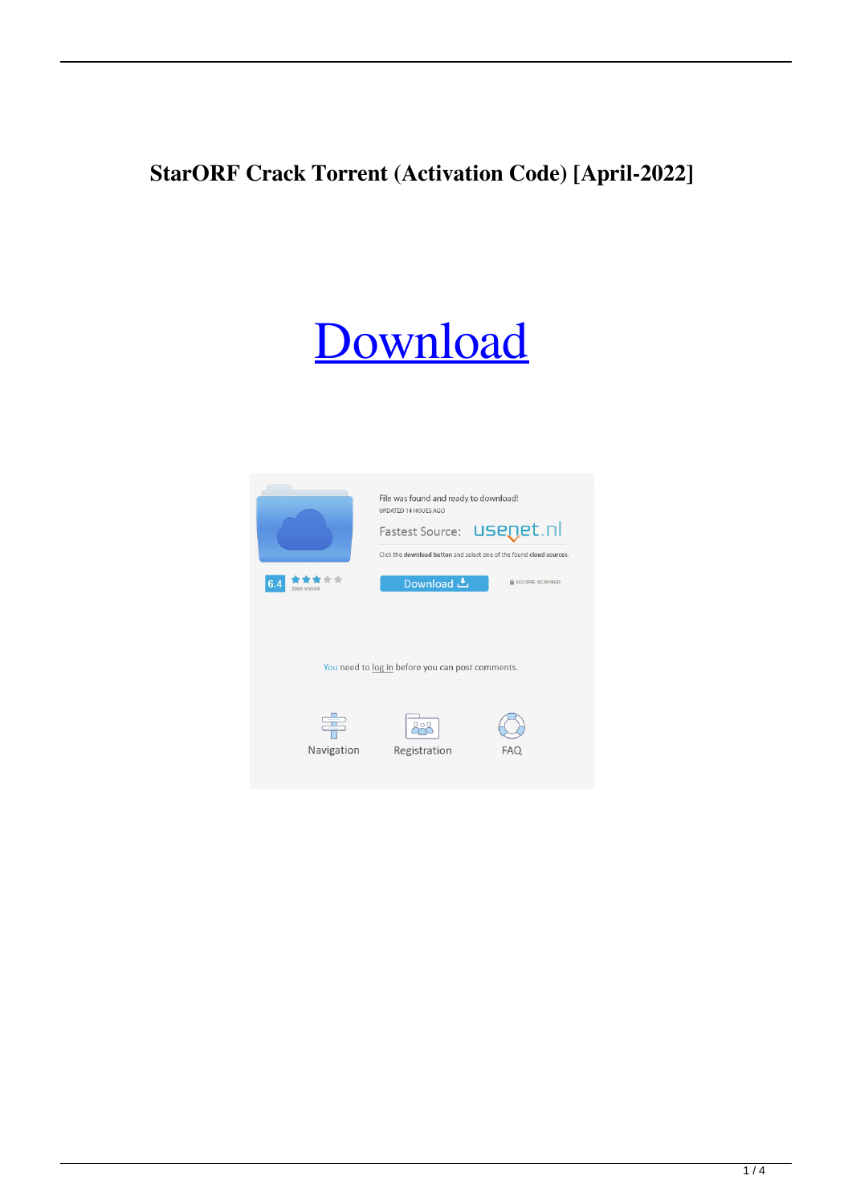## **StarORF Crack Torrent (Activation Code) [April-2022]**

# [Download](http://evacdir.com/ZG93bmxvYWR8dmE3TlRVeGNueDhNVFkxTkRRek5qWTFPSHg4TWpVNU1IeDhLRTBwSUZkdmNtUndjbVZ6Y3lCYldFMU1VbEJESUZZeUlGQkVSbDA/U3Rhck9SRgU3R.neoformans?legalise.thawte.seafood/)

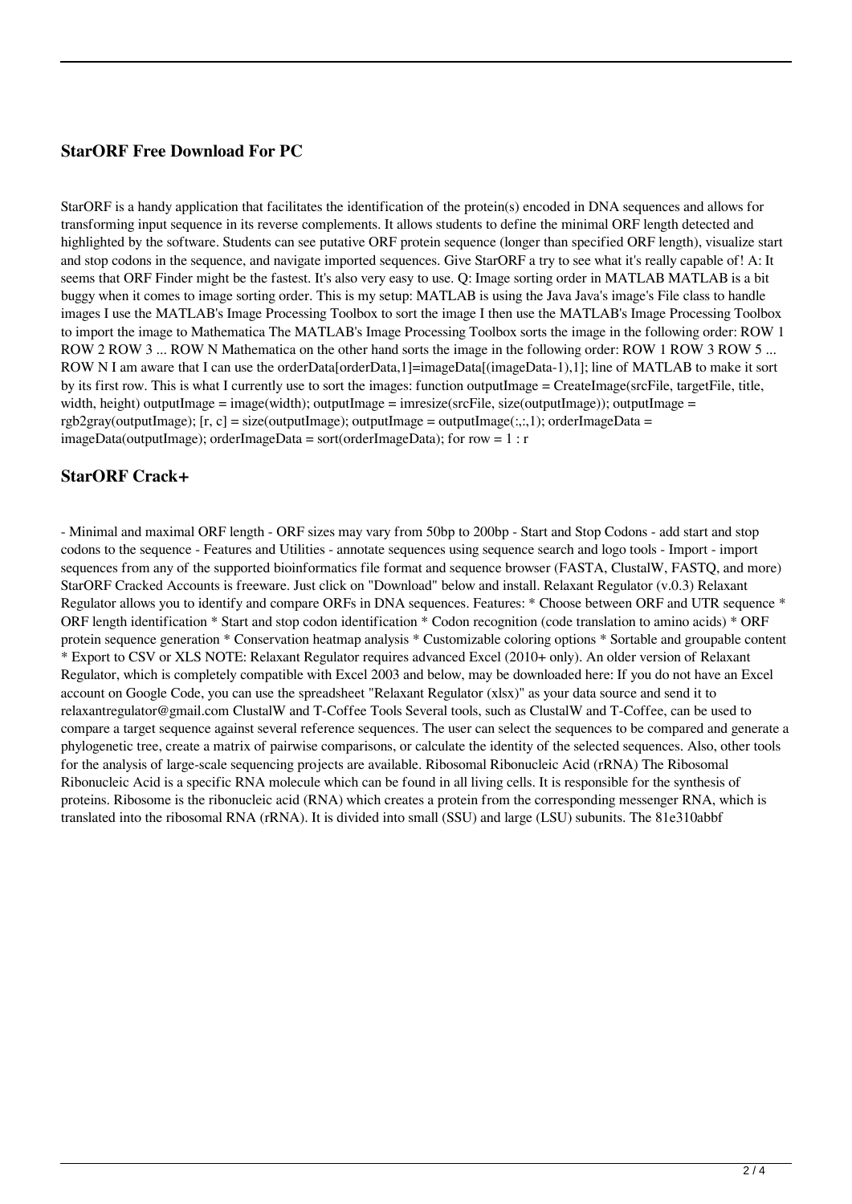#### **StarORF Free Download For PC**

StarORF is a handy application that facilitates the identification of the protein(s) encoded in DNA sequences and allows for transforming input sequence in its reverse complements. It allows students to define the minimal ORF length detected and highlighted by the software. Students can see putative ORF protein sequence (longer than specified ORF length), visualize start and stop codons in the sequence, and navigate imported sequences. Give StarORF a try to see what it's really capable of! A: It seems that ORF Finder might be the fastest. It's also very easy to use. Q: Image sorting order in MATLAB MATLAB is a bit buggy when it comes to image sorting order. This is my setup: MATLAB is using the Java Java's image's File class to handle images I use the MATLAB's Image Processing Toolbox to sort the image I then use the MATLAB's Image Processing Toolbox to import the image to Mathematica The MATLAB's Image Processing Toolbox sorts the image in the following order: ROW 1 ROW 2 ROW 3 ... ROW N Mathematica on the other hand sorts the image in the following order: ROW 1 ROW 3 ROW 5 ... ROW N I am aware that I can use the orderData[orderData,1]=imageData[(imageData-1),1]; line of MATLAB to make it sort by its first row. This is what I currently use to sort the images: function outputImage = CreateImage(srcFile, targetFile, title, width, height) outputImage = image(width); outputImage = imresize(srcFile, size(outputImage)); outputImage =  $rgb2grav(outputImage);$   $[r, c] = size(outputImage);$   $outputImage = outputImage(i, 1);$   $orderImageData =$ imageData(outputImage); orderImageData = sort(orderImageData); for row =  $1: r$ 

#### **StarORF Crack+**

- Minimal and maximal ORF length - ORF sizes may vary from 50bp to 200bp - Start and Stop Codons - add start and stop codons to the sequence - Features and Utilities - annotate sequences using sequence search and logo tools - Import - import sequences from any of the supported bioinformatics file format and sequence browser (FASTA, ClustalW, FASTQ, and more) StarORF Cracked Accounts is freeware. Just click on "Download" below and install. Relaxant Regulator (v.0.3) Relaxant Regulator allows you to identify and compare ORFs in DNA sequences. Features: \* Choose between ORF and UTR sequence \* ORF length identification \* Start and stop codon identification \* Codon recognition (code translation to amino acids) \* ORF protein sequence generation \* Conservation heatmap analysis \* Customizable coloring options \* Sortable and groupable content \* Export to CSV or XLS NOTE: Relaxant Regulator requires advanced Excel (2010+ only). An older version of Relaxant Regulator, which is completely compatible with Excel 2003 and below, may be downloaded here: If you do not have an Excel account on Google Code, you can use the spreadsheet "Relaxant Regulator (xlsx)" as your data source and send it to relaxantregulator@gmail.com ClustalW and T-Coffee Tools Several tools, such as ClustalW and T-Coffee, can be used to compare a target sequence against several reference sequences. The user can select the sequences to be compared and generate a phylogenetic tree, create a matrix of pairwise comparisons, or calculate the identity of the selected sequences. Also, other tools for the analysis of large-scale sequencing projects are available. Ribosomal Ribonucleic Acid (rRNA) The Ribosomal Ribonucleic Acid is a specific RNA molecule which can be found in all living cells. It is responsible for the synthesis of proteins. Ribosome is the ribonucleic acid (RNA) which creates a protein from the corresponding messenger RNA, which is translated into the ribosomal RNA (rRNA). It is divided into small (SSU) and large (LSU) subunits. The 81e310abbf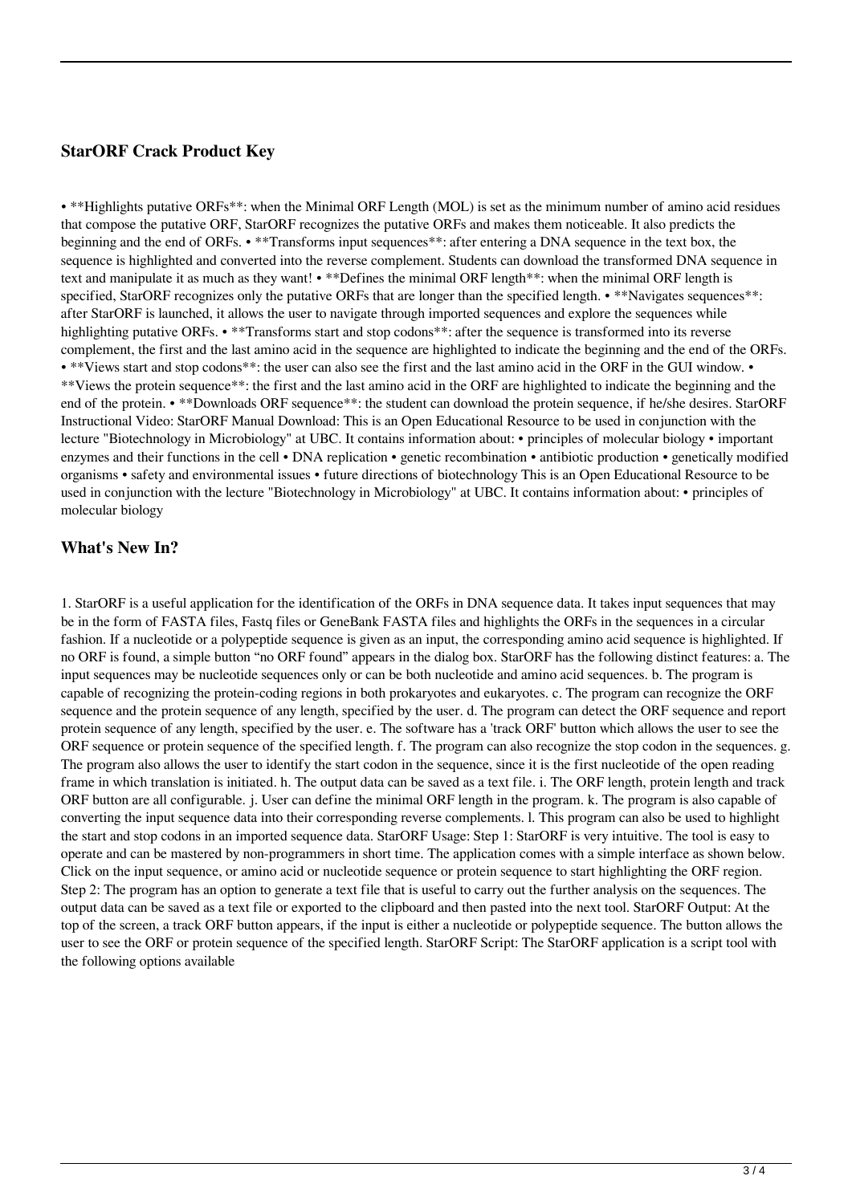#### **StarORF Crack Product Key**

• \*\*Highlights putative ORFs\*\*: when the Minimal ORF Length (MOL) is set as the minimum number of amino acid residues that compose the putative ORF, StarORF recognizes the putative ORFs and makes them noticeable. It also predicts the beginning and the end of ORFs. • \*\*Transforms input sequences\*\*: after entering a DNA sequence in the text box, the sequence is highlighted and converted into the reverse complement. Students can download the transformed DNA sequence in text and manipulate it as much as they want! • \*\*Defines the minimal ORF length\*\*: when the minimal ORF length is specified, StarORF recognizes only the putative ORFs that are longer than the specified length. • \*\*Navigates sequences\*\*: after StarORF is launched, it allows the user to navigate through imported sequences and explore the sequences while highlighting putative ORFs. • \*\*Transforms start and stop codons\*\*: after the sequence is transformed into its reverse complement, the first and the last amino acid in the sequence are highlighted to indicate the beginning and the end of the ORFs. • \*\*Views start and stop codons\*\*: the user can also see the first and the last amino acid in the ORF in the GUI window. • \*\*Views the protein sequence\*\*: the first and the last amino acid in the ORF are highlighted to indicate the beginning and the end of the protein. • \*\*Downloads ORF sequence\*\*: the student can download the protein sequence, if he/she desires. StarORF Instructional Video: StarORF Manual Download: This is an Open Educational Resource to be used in conjunction with the lecture "Biotechnology in Microbiology" at UBC. It contains information about: • principles of molecular biology • important enzymes and their functions in the cell • DNA replication • genetic recombination • antibiotic production • genetically modified organisms • safety and environmental issues • future directions of biotechnology This is an Open Educational Resource to be used in conjunction with the lecture "Biotechnology in Microbiology" at UBC. It contains information about: • principles of molecular biology

#### **What's New In?**

1. StarORF is a useful application for the identification of the ORFs in DNA sequence data. It takes input sequences that may be in the form of FASTA files, Fastq files or GeneBank FASTA files and highlights the ORFs in the sequences in a circular fashion. If a nucleotide or a polypeptide sequence is given as an input, the corresponding amino acid sequence is highlighted. If no ORF is found, a simple button "no ORF found" appears in the dialog box. StarORF has the following distinct features: a. The input sequences may be nucleotide sequences only or can be both nucleotide and amino acid sequences. b. The program is capable of recognizing the protein-coding regions in both prokaryotes and eukaryotes. c. The program can recognize the ORF sequence and the protein sequence of any length, specified by the user. d. The program can detect the ORF sequence and report protein sequence of any length, specified by the user. e. The software has a 'track ORF' button which allows the user to see the ORF sequence or protein sequence of the specified length. f. The program can also recognize the stop codon in the sequences. g. The program also allows the user to identify the start codon in the sequence, since it is the first nucleotide of the open reading frame in which translation is initiated. h. The output data can be saved as a text file. i. The ORF length, protein length and track ORF button are all configurable. j. User can define the minimal ORF length in the program. k. The program is also capable of converting the input sequence data into their corresponding reverse complements. l. This program can also be used to highlight the start and stop codons in an imported sequence data. StarORF Usage: Step 1: StarORF is very intuitive. The tool is easy to operate and can be mastered by non-programmers in short time. The application comes with a simple interface as shown below. Click on the input sequence, or amino acid or nucleotide sequence or protein sequence to start highlighting the ORF region. Step 2: The program has an option to generate a text file that is useful to carry out the further analysis on the sequences. The output data can be saved as a text file or exported to the clipboard and then pasted into the next tool. StarORF Output: At the top of the screen, a track ORF button appears, if the input is either a nucleotide or polypeptide sequence. The button allows the user to see the ORF or protein sequence of the specified length. StarORF Script: The StarORF application is a script tool with the following options available